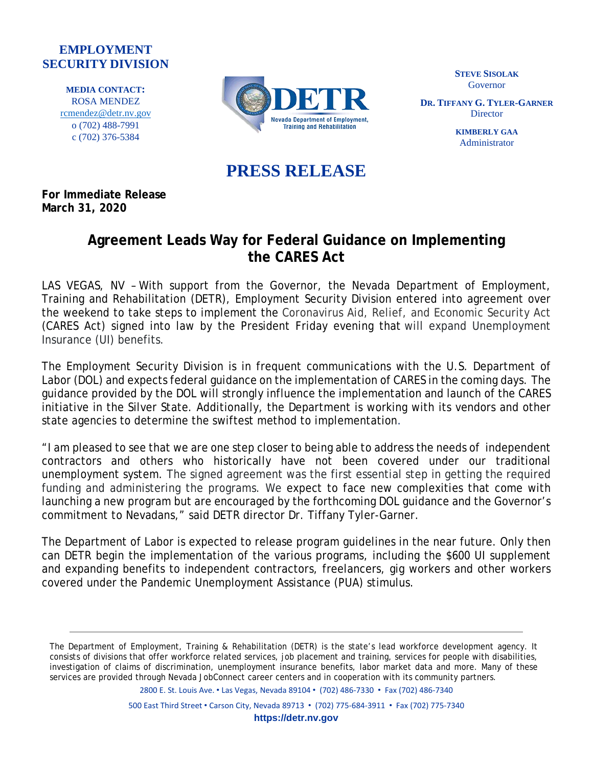## **EMPLOYMENT SECURITY DIVISION**

**MEDIA CONTACT:** ROSA MENDEZ [rcmendez@detr.nv.gov](mailto:rcmendez@detr.nv.gov) o (702) 488-7991 c (702) 376-5384



**STEVE SISOLAK** Governor

**DR. TIFFANY G. TYLER-GARNER Director** 

> **KIMBERLY GAA** Administrator

## **PRESS RELEASE**

**For Immediate Release March 31, 2020**

## **Agreement Leads Way for Federal Guidance on Implementing the CARES Act**

LAS VEGAS, NV – With support from the Governor, the Nevada Department of Employment, Training and Rehabilitation (DETR), Employment Security Division entered into agreement over the weekend to take steps to implement the Coronavirus Aid, Relief, and Economic Security Act (CARES Act) signed into law by the President Friday evening that will expand Unemployment Insurance (UI) benefits.

The Employment Security Division is in frequent communications with the U.S. Department of Labor (DOL) and expects federal guidance on the implementation of CARES in the coming days. The guidance provided by the DOL will strongly influence the implementation and launch of the CARES initiative in the Silver State. Additionally, the Department is working with its vendors and other state agencies to determine the swiftest method to implementation.

"I am pleased to see that we are one step closer to being able to address the needs of independent contractors and others who historically have not been covered under our traditional unemployment system. The signed agreement was the first essential step in getting the required funding and administering the programs. We expect to face new complexities that come with launching a new program but are encouraged by the forthcoming DOL guidance and the Governor's commitment to Nevadans," said DETR director Dr. Tiffany Tyler-Garner.

The Department of Labor is expected to release program guidelines in the near future. Only then can DETR begin the implementation of the various programs, including the \$600 UI supplement and expanding benefits to independent contractors, freelancers, gig workers and other workers covered under the Pandemic Unemployment Assistance (PUA) stimulus.

2800 E. St. Louis Ave. • Las Vegas, Nevada 89104 • (702) 486-7330 • Fax (702) 486-7340

500 East Third Street • Carson City, Nevada 89713 • (702) 775-684-3911 • Fax (702) 775-7340

The Department of Employment, Training & Rehabilitation (DETR) is the state's lead workforce development agency. It consists of divisions that offer workforce related services, job placement and training, services for people with disabilities, investigation of claims of discrimination, unemployment insurance benefits, labor market data and more. Many of these services are provided through Nevada JobConnect career centers and in cooperation with its community partners.